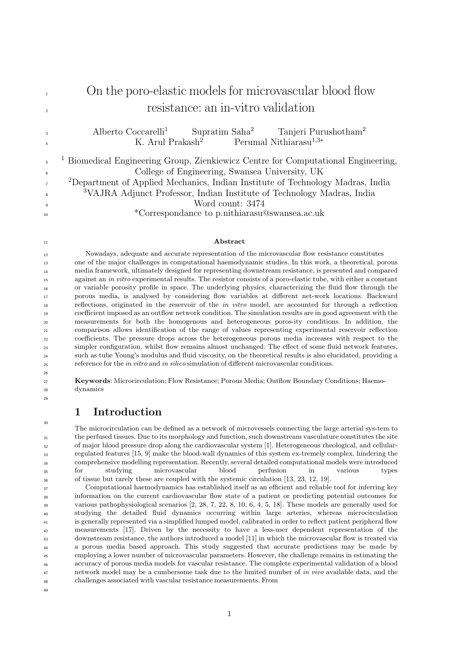#### 1 On the poro-elastic models for microvascular blood flow <sup>2</sup> resistance: an in-vitro validation Alberto Coccarelli<sup>1</sup> Supratim Saha<sup>2</sup> Tanjeri Purushotham<sup>2</sup> 3 K. Arul Prakash<sup>2</sup> Perumal Nithiarasu<sup>1,3</sup>\* 4 <sup>1</sup> Biomedical Engineering Group, Zienkiewicz Centre for Computational Engineering, 5  $\epsilon$ 7 8  $\overline{9}$ College of Engineering, Swansea University, UK <sup>2</sup>Department of Applied Mechanics, Indian Institute of Technology Madras, India <sup>3</sup>VAJRA Adjunct Professor, Indian Institute of Technology Madras, India Word count: 3474

\*Correspondance to p.nithiarasu@swansea.ac.uk

#### Abstract

Nowadays, adequate and accurate representation of the microvascular flow resistance constitutes one of the major challenges in computational haemodynamic studies. In this work, a theoretical, porous media framework, ultimately designed for representing downstream resistance, is presented and compared against an in vitro experimental results. The resistor consists of a poro-elastic tube, with either a constant or variable porosity profile in space. The underlying physics, characterizing the fluid flow through the porous media, is analysed by considering flow variables at different net-work locations. Backward reflections, originated in the reservoir of the in vitro model, are accounted for through a reflection coefficient imposed as an outflow network condition. The simulation results are in good agreement with the measurements for both the homogenous and heterogeneous poros-ity conditions. In addition, the comparison allows identification of the range of values representing experimental reservoir reflection coefficients. The pressure drops across the heterogeneous porous media increases with respect to the simpler configuration, whilst flow remains almost unchanged. The effect of some fluid network features, such as tube Young's modulus and fluid viscosity, on the theoretical results is also elucidated, providing a reference for the *in vitro* and *in silico* simulation of different microvascular conditions.

Keywords: Microcirculation; Flow Resistance; Porous Media; Outflow Boundary Conditions; Haemodynamics

# 1 Introduction

The microcirculation can be defined as a network of microvessels connecting the large arterial sys-tem to the perfused tissues. Due to its morphology and function, such downstream vasculature constitutes the site of major blood pressure drop along the cardiovascular system [1]. Heterogeneous rheological, and cellularregulated features [15, 9] make the blood-wall dynamics of this system ex-tremely complex, hindering the comprehensive modelling representation. Recently, several detailed computational models were introduced for studying microvascular blood perfusion in various types of tissue but rarely these are coupled with the systemic circulation [13, 23, 12, 19].

37 38 39  $40$ 41 42 43 44 45 46 47 48 Computational haemodynamics has established itself as an efficient and reliable tool for inferring key information on the current cardiovascular flow state of a patient or predicting potential outcomes for various pathophysiological scenarios [2, 28, 7, 22, 8, 10, 6, 4, 5, 18]. These models are generally used for studying the detailed fluid dynamics occurring within large arteries, whereas microcirculation is generally represented via a simplified lumped model, calibrated in order to reflect patient peripheral flow measurements [17]. Driven by the necessity to have a less-user dependent representation of the downstream resistance, the authors introduced a model [11] in which the microvascular flow is treated via a porous media based approach. This study suggested that accurate predictions may be made by employing a lower number of microvascular parameters. However, the challenge remains in estimating the accuracy of porous media models for vascular resistance. The complete experimental validation of a blood network model may be a cumbersome task due to the limited number of in vivo available data, and the challenges associated with vascular resistance measurements. From

<sub>49</sub>

10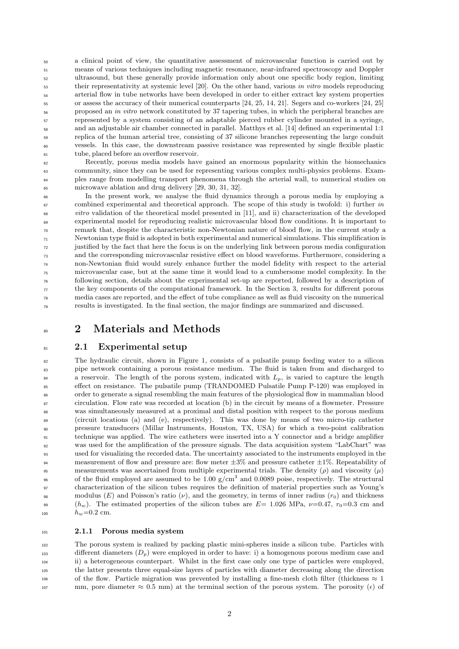50 51 52 53 54 55 56 57 58 59 60 61 a clinical point of view, the quantitative assessment of microvascular function is carried out by means of various techniques including magnetic resonance, near-infrared spectroscopy and Doppler ultrasound, but these generally provide information only about one specific body region, limiting their representativity at systemic level [20]. On the other hand, various in vitro models reproducing arterial flow in tube networks have been developed in order to either extract key system properties or assess the accuracy of their numerical counterparts [24, 25, 14, 21]. Segers and co-workers [24, 25] proposed an in vitro network constituted by 37 tapering tubes, in which the peripheral branches are represented by a system consisting of an adaptable pierced rubber cylinder mounted in a syringe, and an adjustable air chamber connected in parallel. Matthys et al. [14] defined an experimental 1:1 replica of the human arterial tree, consisting of 37 silicone branches representing the large conduit vessels. In this case, the downstream passive resistance was represented by single flexible plastic tube, placed before an overflow reservoir.

Recently, porous media models have gained an enormous popularity within the biomechanics community, since they can be used for representing various complex multi-physics problems. Examples range from modelling transport phenomena through the arterial wall, to numerical studies on microwave ablation and drug delivery [29, 30, 31, 32].

In the present work, we analyse the fluid dynamics through a porous media by employing a combined experimental and theoretical approach. The scope of this study is twofold: i) further in vitro validation of the theoretical model presented in [11], and ii) characterization of the developed experimental model for reproducing realistic microvascular blood flow conditions. It is important to remark that, despite the characteristic non-Newtonian nature of blood flow, in the current study a Newtonian type fluid is adopted in both experimental and numerical simulations. This simplification is justified by the fact that here the focus is on the underlying link between porous media configuration and the corresponding microvascular resistive effect on blood waveforms. Furthermore, considering a non-Newtonian fluid would surely enhance further the model fidelity with respect to the arterial microvascular case, but at the same time it would lead to a cumbersome model complexity. In the following section, details about the experimental set-up are reported, followed by a description of the key components of the computational framework. In the Section 3, results for different porous media cases are reported, and the effect of tube compliance as well as fluid viscosity on the numerical results is investigated. In the final section, the major findings are summarized and discussed.

## 2 Materials and Methods

### 2.1 Experimental setup

8<sub>C</sub>

81

82 83 84 85  $\overline{\mathcal{O}}$ 87 88  $80^{\circ}$ 90 91 92 93 **94** 95 96  $27$  $98$  $^{\circ}$ 100 The hydraulic circuit, shown in Figure 1, consists of a pulsatile pump feeding water to a silicon pipe network containing a porous resistance medium. The fluid is taken from and discharged to a reservoir. The length of the porous system, indicated with  $L_p$ , is varied to capture the length effect on resistance. The pulsatile pump (TRANDOMED Pulsatile Pump P-120) was employed in order to generate a signal resembling the main features of the physiological flow in mammalian blood circulation. Flow rate was recorded at location (b) in the circuit by means of a flowmeter. Pressure was simultaneously measured at a proximal and distal position with respect to the porous medium (circuit locations (a) and (e), respectively). This was done by means of two micro-tip catheter pressure transducers (Millar Instruments, Houston, TX, USA) for which a two-point calibration technique was applied. The wire catheters were inserted into a Y connector and a bridge amplifier was used for the amplification of the pressure signals. The data acquisition system "LabChart" was used for visualizing the recorded data. The uncertainty associated to the instruments employed in the measurement of flow and pressure are: flow meter  $\pm 3\%$  and pressure catheter  $\pm 1\%$ . Repeatability of measurements was ascertained from multiple experimental trials. The density  $(\rho)$  and viscosity  $(\mu)$ of the fluid employed are assumed to be 1.00  $g/cm<sup>3</sup>$  and 0.0089 poise, respectively. The structural characterization of the silicon tubes requires the definition of material properties such as Young's modulus (E) and Poisson's ratio ( $\nu$ ), and the geometry, in terms of inner radius ( $r_0$ ) and thickness  $(h_w)$ . The estimated properties of the silicon tubes are  $E= 1.026$  MPa,  $\nu=0.47$ ,  $r_0=0.3$  cm and  $h_w = 0.2$  cm.

#### 101 2.1.1 Porous media system

102 103 104 105 106 The porous system is realized by packing plastic mini-spheres inside a silicon tube. Particles with different diameters  $(D_n)$  were employed in order to have: i) a homogenous porous medium case and ii) a heterogeneous counterpart. Whilst in the first case only one type of particles were employed, the latter presents three equal-size layers of particles with diameter decreasing along the direction of the flow. Particle migration was prevented by installing a fine-mesh cloth filter (thickness  $\approx 1$ ) 107 mm, pore diameter  $\approx 0.5$  mm) at the terminal section of the porous system. The porosity ( $\epsilon$ ) of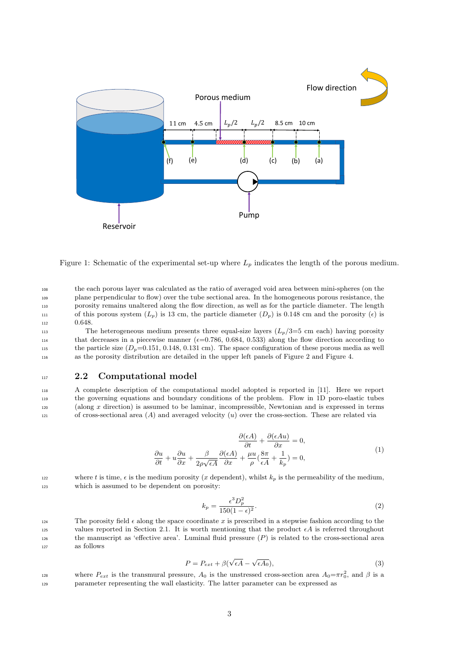

Figure 1: Schematic of the experimental set-up where  $L_p$  indicates the length of the porous medium.

<sup>108</sup> the each porous layer was calculated as the ratio of averaged void area between mini-spheres (on the <sup>109</sup> plane perpendicular to flow) over the tube sectional area. In the homogeneous porous resistance, the <sup>110</sup> porosity remains unaltered along the flow direction, as well as for the particle diameter. The length 111 of this porous system  $(L_p)$  is 13 cm, the particle diameter  $(D_p)$  is 0.148 cm and the porosity  $(\epsilon)$  is 112 0.648.

113 The heterogeneous medium presents three equal-size layers  $(L_p/3=5 \text{ cm each})$  having porosity that decreases in a piecewise manner  $(\epsilon=0.786, 0.684, 0.533)$  along the flow direction according to the particle size  $(D_p=0.151, 0.148, 0.131 \text{ cm})$ . The space configuration of these porous media as well <sup>116</sup> as the porosity distribution are detailed in the upper left panels of Figure 2 and Figure 4.

#### <sup>117</sup> 2.2 Computational model

 A complete description of the computational model adopted is reported in [11]. Here we report the governing equations and boundary conditions of the problem. Flow in 1D poro-elastic tubes (along x direction) is assumed to be laminar, incompressible, Newtonian and is expressed in terms 121 of cross-sectional area  $(A)$  and averaged velocity  $(u)$  over the cross-section. These are related via

$$
\frac{\partial(\epsilon A)}{\partial t} + \frac{\partial(\epsilon A u)}{\partial x} = 0,
$$
\n
$$
\frac{\partial u}{\partial t} + u \frac{\partial u}{\partial x} + \frac{\beta}{2\rho\sqrt{\epsilon A}} \frac{\partial(\epsilon A)}{\partial x} + \frac{\mu u}{\rho} \left(\frac{8\pi}{\epsilon A} + \frac{1}{k_p}\right) = 0,
$$
\n(1)

where t is time,  $\epsilon$  is the medium porosity (x dependent), whilst  $k_p$  is the permeability of the medium, <sup>123</sup> which is assumed to be dependent on porosity:

$$
k_p = \frac{\epsilon^3 D_p^2}{150(1 - \epsilon)^2}.
$$
\n<sup>(2)</sup>

124 The porosity field  $\epsilon$  along the space coordinate x is prescribed in a stepwise fashion according to the 125 values reported in Section 2.1. It is worth mentioning that the product  $\epsilon A$  is referred throughout 126 the manuscript as 'effective area'. Luminal fluid pressure  $(P)$  is related to the cross-sectional area <sup>127</sup> as follows

$$
P = P_{ext} + \beta(\sqrt{\epsilon A} - \sqrt{\epsilon A_0}),\tag{3}
$$

where  $P_{ext}$  is the transmural pressure,  $A_0$  is the unstressed cross-section area  $A_0 = \pi r_0^2$ , and  $\beta$  is a <sup>129</sup> parameter representing the wall elasticity. The latter parameter can be expressed as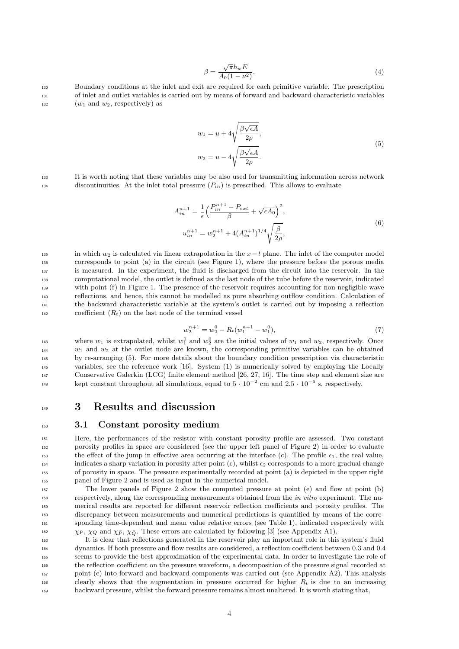$$
\beta = \frac{\sqrt{\pi}h_w E}{A_0(1 - \nu^2)}.\tag{4}
$$

<sup>130</sup> Boundary conditions at the inlet and exit are required for each primitive variable. The prescription <sup>131</sup> of inlet and outlet variables is carried out by means of forward and backward characteristic variables  $(w_1 \text{ and } w_2, \text{ respectively})$  as

$$
w_1 = u + 4\sqrt{\frac{\beta\sqrt{\epsilon A}}{2\rho}},
$$
  

$$
w_2 = u - 4\sqrt{\frac{\beta\sqrt{\epsilon A}}{2\rho}}.
$$
 (5)

<sup>133</sup> It is worth noting that these variables may be also used for transmitting information across network discontinuities. At the inlet total pressure  $(P_{in})$  is prescribed. This allows to evaluate

$$
A_{in}^{n+1} = \frac{1}{\epsilon} \left( \frac{P_{in}^{n+1} - P_{ext}}{\beta} + \sqrt{\epsilon A_0} \right)^2,
$$
  

$$
u_{in}^{n+1} = w_2^{n+1} + 4(A_{in}^{n+1})^{1/4} \sqrt{\frac{\beta}{2\rho}},
$$
 (6)

135 in which w<sub>2</sub> is calculated via linear extrapolation in the  $x-t$  plane. The inlet of the computer model corresponds to point (a) in the circuit (see Figure 1), where the pressure before the porous media is measured. In the experiment, the fluid is discharged from the circuit into the reservoir. In the computational model, the outlet is defined as the last node of the tube before the reservoir, indicated with point (f) in Figure 1. The presence of the reservoir requires accounting for non-negligible wave reflections, and hence, this cannot be modelled as pure absorbing outflow condition. Calculation of the backward characteristic variable at the system's outlet is carried out by imposing a reflection coefficient  $(R_t)$  on the last node of the terminal vessel

$$
w_2^{n+1} = w_2^0 - R_t(w_1^{n+1} - w_1^0),\tag{7}
$$

143 144 145 146 147 148 where  $w_1$  is extrapolated, whilst  $w_1^0$  and  $w_2^0$  are the initial values of  $w_1$  and  $w_2$ , respectively. Once  $w_1$  and  $w_2$  at the outlet node are known, the corresponding primitive variables can be obtained by re-arranging (5). For more details about the boundary condition prescription via characteristic variables, see the reference work [16]. System (1) is numerically solved by employing the Locally Conservative Galerkin (LCG) finite element method [26, 27, 16]. The time step and element size are kept constant throughout all simulations, equal to  $5 \cdot 10^{-2}$  cm and  $2.5 \cdot 10^{-6}$  s, respectively.

### 3 Results and discussion

149

#### 3.1 Constant porosity medium

Here, the performances of the resistor with constant porosity profile are assessed. Two constant porosity profiles in space are considered (see the upper left panel of Figure 2) in order to evaluate the effect of the jump in effective area occurring at the interface (c). The profile  $\epsilon_1$ , the real value, indicates a sharp variation in porosity after point (c), whilst  $\epsilon_2$  corresponds to a more gradual change of porosity in space. The pressure experimentally recorded at point (a) is depicted in the upper right panel of Figure 2 and is used as input in the numerical model.

 $\chi_P$ ,  $\chi_Q$  and  $\chi_{\bar{P}}$ ,  $\chi_{\bar{Q}}$ . These errors are calculated by following [3] (see Appendix A1). The lower panels of Figure 2 show the computed pressure at point (e) and flow at point (b) respectively, along the corresponding measurements obtained from the *in vitro* experiment. The numerical results are reported for different reservoir reflection coefficients and porosity profiles. The discrepancy between measurements and numerical predictions is quantified by means of the corresponding time-dependent and mean value relative errors (see Table 1), indicated respectively with

163 164 165 166 167 168 It is clear that reflections generated in the reservoir play an important role in this system's fluid dynamics. If both pressure and flow results are considered, a reflection coefficient between 0.3 and 0.4 seems to provide the best approximation of the experimental data. In order to investigate the role of the reflection coefficient on the pressure waveform, a decomposition of the pressure signal recorded at point (e) into forward and backward components was carried out (see Appendix A2). This analysis clearly shows that the augmentation in pressure occurred for higher  $R_t$  is due to an increasing <sup>169</sup> backward pressure, whilst the forward pressure remains almost unaltered. It is worth stating that,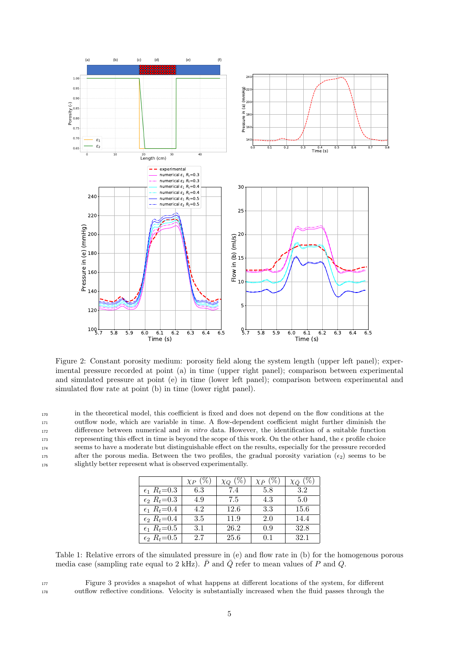

Figure 2: Constant porosity medium: porosity field along the system length (upper left panel); experimental pressure recorded at point (a) in time (upper right panel); comparison between experimental and simulated pressure at point (e) in time (lower left panel); comparison between experimental and simulated flow rate at point (b) in time (lower right panel).

170 171 172 173 174 175 in the theoretical model, this coefficient is fixed and does not depend on the flow conditions at the outflow node, which are variable in time. A flow-dependent coefficient might further diminish the difference between numerical and in vitro data. However, the identification of a suitable function representing this effect in time is beyond the scope of this work. On the other hand, the  $\epsilon$  profile choice seems to have a moderate but distinguishable effect on the results, especially for the pressure recorded after the porous media. Between the two profiles, the gradual porosity variation  $(\epsilon_2)$  seems to be 176 slightly better represent what is observed experimentally.

|                          | $\chi_P(\%)$ | $(\%)$ | $\chi_{\bar{P}}(\%)$ | $\chi_{\bar{Q}}$ (%) |
|--------------------------|--------------|--------|----------------------|----------------------|
| $\epsilon_1$ $R_t = 0.3$ | 6.3          | 7.4    | 5.8                  | 3.2                  |
| $\epsilon_2 R_t = 0.3$   | 4.9          | 7.5    | 4.3                  | 5.0                  |
| $\epsilon_1$ $R_t = 0.4$ | 4.2          | 12.6   | 3.3                  | 15.6                 |
| $\epsilon_2$ $R_t = 0.4$ | 3.5          | 11.9   | 2.0                  | 14.4                 |
| $\epsilon_1$ $R_t = 0.5$ | 3.1          | 26.2   | 0.9                  | 32.8                 |
| $\epsilon_2$ $R_t = 0.5$ | 2.7          | 25.6   | 0.1                  | 32.1                 |

Table 1: Relative errors of the simulated pressure in (e) and flow rate in (b) for the homogenous porous media case (sampling rate equal to 2 kHz).  $\overline{P}$  and  $\overline{Q}$  refer to mean values of P and  $\overline{Q}$ .

<sup>177</sup> Figure 3 provides a snapshot of what happens at different locations of the system, for different <sup>178</sup> outflow reflective conditions. Velocity is substantially increased when the fluid passes through the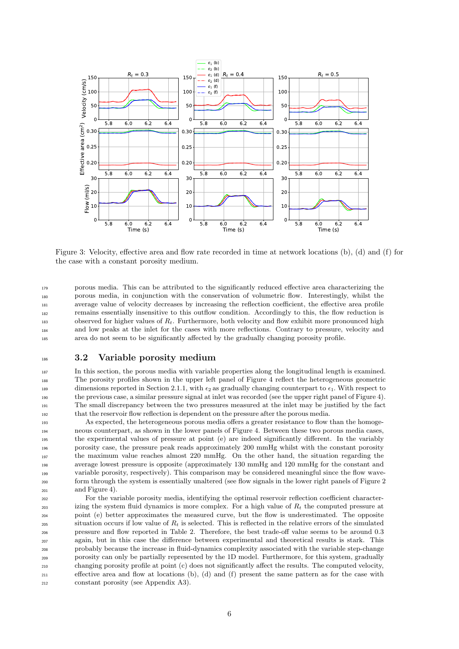

Figure 3: Velocity, effective area and flow rate recorded in time at network locations (b), (d) and (f) for the case with a constant porosity medium.

179 180 181 182 183 184 185 porous media. This can be attributed to the significantly reduced effective area characterizing the porous media, in conjunction with the conservation of volumetric flow. Interestingly, whilst the average value of velocity decreases by increasing the reflection coefficient, the effective area profile remains essentially insensitive to this outflow condition. Accordingly to this, the flow reduction is observed for higher values of  $R_t$ . Furthermore, both velocity and flow exhibit more pronounced high and low peaks at the inlet for the cases with more reflections. Contrary to pressure, velocity and area do not seem to be significantly affected by the gradually changing porosity profile.

### 3.2 Variable porosity medium

In this section, the porous media with variable properties along the longitudinal length is examined. The porosity profiles shown in the upper left panel of Figure 4 reflect the heterogeneous geometric dimensions reported in Section 2.1.1, with  $\epsilon_2$  as gradually changing counterpart to  $\epsilon_1$ . With respect to the previous case, a similar pressure signal at inlet was recorded (see the upper right panel of Figure 4). The small discrepancy between the two pressures measured at the inlet may be justified by the fact that the reservoir flow reflection is dependent on the pressure after the porous media.

193 194 195 196 197 198 199 200 201 As expected, the heterogeneous porous media offers a greater resistance to flow than the homogeneous counterpart, as shown in the lower panels of Figure 4. Between these two porous media cases, the experimental values of pressure at point (e) are indeed significantly different. In the variably porosity case, the pressure peak reads approximately 200 mmHg whilst with the constant porosity the maximum value reaches almost 220 mmHg. On the other hand, the situation regarding the average lowest pressure is opposite (approximately 130 mmHg and 120 mmHg for the constant and variable porosity, respectively). This comparison may be considered meaningful since the flow waveform through the system is essentially unaltered (see flow signals in the lower right panels of Figure 2 and Figure 4).

202 203 204 205 206 207 208 209 210 211 For the variable porosity media, identifying the optimal reservoir reflection coefficient characterizing the system fluid dynamics is more complex. For a high value of  $R_t$  the computed pressure at point (e) better approximates the measured curve, but the flow is underestimated. The opposite situation occurs if low value of  $R_t$  is selected. This is reflected in the relative errors of the simulated pressure and flow reported in Table 2. Therefore, the best trade-off value seems to be around 0.3 again, but in this case the difference between experimental and theoretical results is stark. This probably because the increase in fluid-dynamics complexity associated with the variable step-change porosity can only be partially represented by the 1D model. Furthermore, for this system, gradually changing porosity profile at point (c) does not significantly affect the results. The computed velocity, effective area and flow at locations (b), (d) and (f) present the same pattern as for the case with <sup>212</sup> constant porosity (see Appendix A3).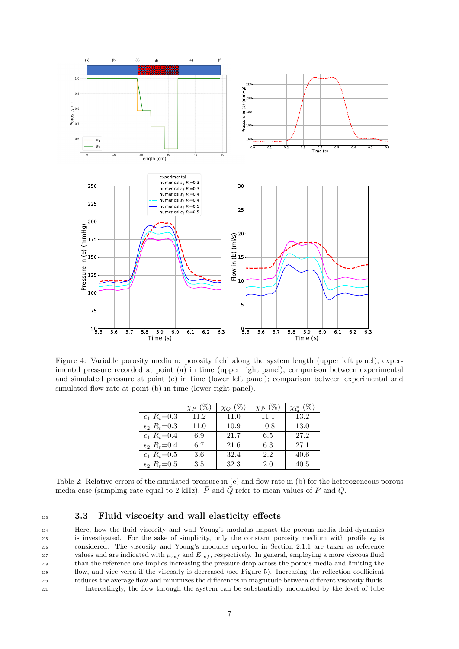

Figure 4: Variable porosity medium: porosity field along the system length (upper left panel); experimental pressure recorded at point (a) in time (upper right panel); comparison between experimental and simulated pressure at point (e) in time (lower left panel); comparison between experimental and simulated flow rate at point (b) in time (lower right panel).

|                          | $\chi_P(\%)$ | $\chi_Q$ (%) | $\chi_{\bar{P}}(\%)$ | $\chi_{\bar{Q}}(\%)$ |
|--------------------------|--------------|--------------|----------------------|----------------------|
| $\epsilon_1$ $R_t = 0.3$ | 11.2         | 11.0         | 11.1                 | 13.2                 |
| $\epsilon_2$ $R_t = 0.3$ | 11.0         | 10.9         | 10.8                 | 13.0                 |
| $\epsilon_1$ $R_t = 0.4$ | 6.9          | 21.7         | 6.5                  | 27.2                 |
| $\epsilon_2$ $R_t = 0.4$ | 6.7          | 21.6         | 6.3                  | 27.1                 |
| $\epsilon_1$ $R_t = 0.5$ | 3.6          | 32.4         | 2.2                  | 40.6                 |
| $\epsilon_2$ $R_t = 0.5$ | 3.5          | 32.3         | 2.0                  | 40.5                 |

Table 2: Relative errors of the simulated pressure in (e) and flow rate in (b) for the heterogeneous porous media case (sampling rate equal to 2 kHz).  $\bar{P}$  and  $\bar{Q}$  refer to mean values of P and Q.

### <sup>213</sup> 3.3 Fluid viscosity and wall elasticity effects

 Here, how the fluid viscosity and wall Young's modulus impact the porous media fluid-dynamics 215 is investigated. For the sake of simplicity, only the constant porosity medium with profile  $\epsilon_2$  is considered. The viscosity and Young's modulus reported in Section 2.1.1 are taken as reference values and are indicated with  $\mu_{ref}$  and  $E_{ref}$ , respectively. In general, employing a more viscous fluid than the reference one implies increasing the pressure drop across the porous media and limiting the flow, and vice versa if the viscosity is decreased (see Figure 5). Increasing the reflection coefficient reduces the average flow and minimizes the differences in magnitude between different viscosity fluids. Interestingly, the flow through the system can be substantially modulated by the level of tube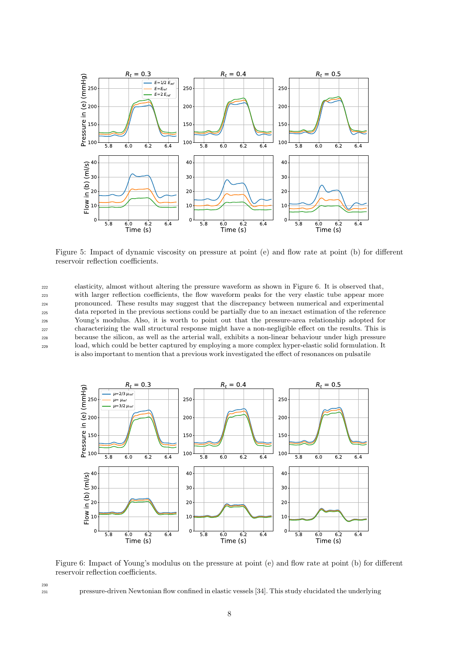

Figure 5: Impact of dynamic viscosity on pressure at point (e) and flow rate at point (b) for different reservoir reflection coefficients.

222 223 224 225  $226$ 227 228 229 elasticity, almost without altering the pressure waveform as shown in Figure 6. It is observed that, with larger reflection coefficients, the flow waveform peaks for the very elastic tube appear more pronounced. These results may suggest that the discrepancy between numerical and experimental data reported in the previous sections could be partially due to an inexact estimation of the reference Young's modulus. Also, it is worth to point out that the pressure-area relationship adopted for characterizing the wall structural response might have a non-negligible effect on the results. This is because the silicon, as well as the arterial wall, exhibits a non-linear behaviour under high pressure load, which could be better captured by employing a more complex hyper-elastic solid formulation. It is also important to mention that a previous work investigated the effect of resonances on pulsatile



Figure 6: Impact of Young's modulus on the pressure at point (e) and flow rate at point (b) for different reservoir reflection coefficients.

<sup>231</sup> pressure-driven Newtonian flow confined in elastic vessels [34]. This study elucidated the underlying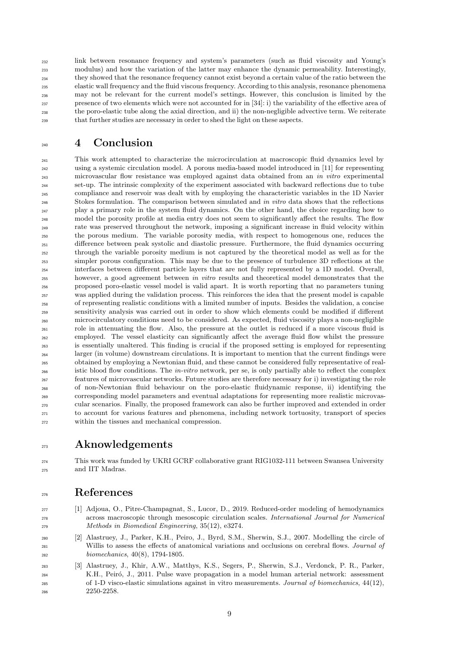232 233 234 235 236 237 238 239 link between resonance frequency and system's parameters (such as fluid viscosity and Young's modulus) and how the variation of the latter may enhance the dynamic permeability. Interestingly, they showed that the resonance frequency cannot exist beyond a certain value of the ratio between the elastic wall frequency and the fluid viscous frequency. According to this analysis, resonance phenomena may not be relevant for the current model's settings. However, this conclusion is limited by the presence of two elements which were not accounted for in [34]: i) the variability of the effective area of the poro-elastic tube along the axial direction, and ii) the non-negligible advective term. We reiterate that further studies are necessary in order to shed the light on these aspects.

# 4 Conclusion

240

241 242 243 244 245  $246$ 247  $246$  $24C$ 250 251 252 253 254 255 256 257 258 259 260 261 262 263 264 265 266 267 268 269 270 271 272 This work attempted to characterize the microcirculation at macroscopic fluid dynamics level by using a systemic circulation model. A porous media-based model introduced in [11] for representing microvascular flow resistance was employed against data obtained from an in vitro experimental set-up. The intrinsic complexity of the experiment associated with backward reflections due to tube compliance and reservoir was dealt with by employing the characteristic variables in the 1D Navier Stokes formulation. The comparison between simulated and in vitro data shows that the reflections play a primary role in the system fluid dynamics. On the other hand, the choice regarding how to model the porosity profile at media entry does not seem to significantly affect the results. The flow rate was preserved throughout the network, imposing a significant increase in fluid velocity within the porous medium. The variable porosity media, with respect to homogenous one, reduces the difference between peak systolic and diastolic pressure. Furthermore, the fluid dynamics occurring through the variable porosity medium is not captured by the theoretical model as well as for the simpler porous configuration. This may be due to the presence of turbulence 3D reflections at the interfaces between different particle layers that are not fully represented by a 1D model. Overall, however, a good agreement between in vitro results and theoretical model demonstrates that the proposed poro-elastic vessel model is valid apart. It is worth reporting that no parameters tuning was applied during the validation process. This reinforces the idea that the present model is capable of representing realistic conditions with a limited number of inputs. Besides the validation, a concise sensitivity analysis was carried out in order to show which elements could be modified if different microcirculatory conditions need to be considered. As expected, fluid viscosity plays a non-negligible role in attenuating the flow. Also, the pressure at the outlet is reduced if a more viscous fluid is employed. The vessel elasticity can significantly affect the average fluid flow whilst the pressure is essentially unaltered. This finding is crucial if the proposed setting is employed for representing larger (in volume) downstream circulations. It is important to mention that the current findings were obtained by employing a Newtonian fluid, and these cannot be considered fully representative of realistic blood flow conditions. The *in-vitro* network, per se, is only partially able to reflect the complex features of microvascular networks. Future studies are therefore necessary for i) investigating the role of non-Newtonian fluid behaviour on the poro-elastic fluidynamic response, ii) identifying the corresponding model parameters and eventual adaptations for representing more realistic microvascular scenarios. Finally, the proposed framework can also be further improved and extended in order to account for various features and phenomena, including network tortuosity, transport of species within the tissues and mechanical compression.

# Aknowledgements

274 275 This work was funded by UKRI GCRF collaborative grant RIG1032-111 between Swansea University and IIT Madras.

# References

273

276

- <sup>277</sup> [1] Adjoua, O., Pitre-Champagnat, S., Lucor, D., 2019. Reduced-order modeling of hemodynamics <sup>278</sup> across macroscopic through mesoscopic circulation scales. International Journal for Numerical <sup>279</sup> Methods in Biomedical Engineering, 35(12), e3274.
- <sup>280</sup> [2] Alastruey, J., Parker, K.H., Peiro, J., Byrd, S.M., Sherwin, S.J., 2007. Modelling the circle of <sup>281</sup> Willis to assess the effects of anatomical variations and occlusions on cerebral flows. Journal of <sup>282</sup> biomechanics, 40(8), 1794-1805.
- <sup>283</sup> [3] Alastruey, J., Khir, A.W., Matthys, K.S., Segers, P., Sherwin, S.J., Verdonck, P. R., Parker, K.H., Peiró, J., 2011. Pulse wave propagation in a model human arterial network: assessment <sup>285</sup> of 1-D visco-elastic simulations against in vitro measurements. Journal of biomechanics, 44(12), <sup>286</sup> 2250-2258.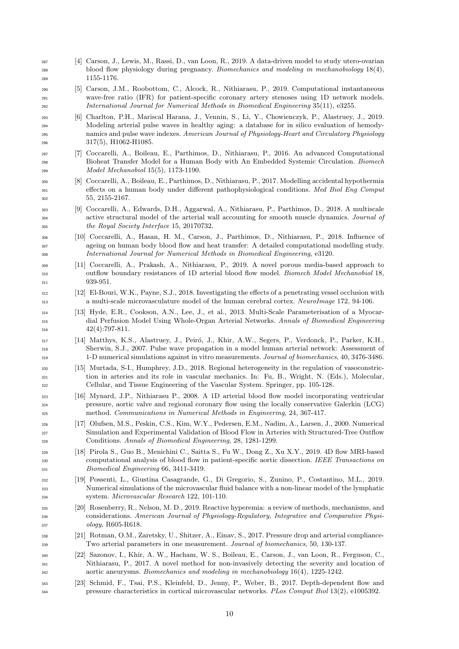- [4] Carson, J., Lewis, M., Rassi, D., van Loon, R., 2019. A data-driven model to study utero-ovarian blood flow physiology during pregnancy. Biomechanics and modeling in mechanobiology 18(4), 1155-1176.
- [5] Carson, J.M., Roobottom, C., Alcock, R., Nithiarasu, P., 2019. Computational instantaneous wave-free ratio (IFR) for patient-specific coronary artery stenoses using 1D network models. International Journal for Numerical Methods in Biomedical Engineering 35(11), e3255.
- [6] Charlton, P.H., Mariscal Harana, J., Vennin, S., Li, Y., Chowienczyk, P., Alastruey, J., 2019. Modeling arterial pulse waves in healthy aging: a database for in silico evaluation of hemody- namics and pulse wave indexes. American Journal of Physiology-Heart and Circulatory Physiology 317(5), H1062-H1085.
- [7] Coccarelli, A., Boileau, E., Parthimos, D., Nithiarasu, P., 2016. An advanced Computational Bioheat Transfer Model for a Human Body with An Embedded Systemic Circulation. Biomech Model Mechanobiol 15(5), 1173-1190.
- [8] Coccarelli, A., Boileau, E., Parthimos, D., Nithiarasu, P., 2017. Modelling accidental hypothermia effects on a human body under different pathophysiological conditions. Med Biol Eng Comput 55, 2155-2167.
- [9] Coccarelli, A., Edwards, D.H., Aggarwal, A., Nithiarasu, P., Parthimos, D., 2018. A multiscale <sup>304</sup> active structural model of the arterial wall accounting for smooth muscle dynamics. *Journal of* the Royal Society Interface 15, 20170732.
- [10] Coccarelli, A., Hasan, H. M., Carson, J., Parthimos, D., Nithiarasu, P., 2018. Influence of ageing on human body blood flow and heat transfer: A detailed computational modelling study. International Journal for Numerical Methods in Biomedical Engineering, e3120.
- [11] Coccarelli, A., Prakash, A., Nithiarasu, P., 2019. A novel porous media-based approach to outflow boundary resistances of 1D arterial blood flow model. Biomech Model Mechanobiol 18, 311 939-951.
- [12] El-Bouri, W.K., Payne, S.J., 2018. Investigating the effects of a penetrating vessel occlusion with a multi-scale microvasculature model of the human cerebral cortex. NeuroImage 172, 94-106.
- [13] Hyde, E.R., Cookson, A.N., Lee, J., et al., 2013. Multi-Scale Parameterisation of a Myocar- dial Perfusion Model Using Whole-Organ Arterial Networks. Annals of Biomedical Engineering 42(4):797-811.
- [14] Matthys, K.S., Alastruey, J., Peir´o, J., Khir, A.W., Segers, P., Verdonck, P., Parker, K.H., Sherwin, S.J., 2007. Pulse wave propagation in a model human arterial network: Assessment of 1-D numerical simulations against in vitro measurements. Journal of biomechanics, 40, 3476-3486.
- [15] Murtada, S-I., Humphrey, J.D., 2018. Regional heterogeneity in the regulation of vasoconstric- tion in arteries and its role in vascular mechanics. In: Fu, B., Wright, N. (Eds.), Molecular, Cellular, and Tissue Engineering of the Vascular System. Springer, pp. 105-128.
- [16] Mynard, J.P., Nithiarasu P., 2008. A 1D arterial blood flow model incorporating ventricular pressure, aortic valve and regional coronary flow using the locally conservative Galerkin (LCG) method. Communications in Numerical Methods in Engineering, 24, 367-417.
- [17] Olufsen, M.S., Peskin, C.S., Kim, W.Y., Pedersen, E.M., Nadim, A., Larsen, J., 2000. Numerical Simulation and Experimental Validation of Blood Flow in Arteries with Structured-Tree Outflow Conditions. Annals of Biomedical Engineering, 28, 1281-1299.
- [18] Pirola S., Guo B., Menichini C., Saitta S., Fu W., Dong Z., Xu X.Y., 2019. 4D flow MRI-based 330 computational analysis of blood flow in patient-specific aortic dissection. IEEE Transactions on Biomedical Engineering 66, 3411-3419.
- [19] Possenti, L., Giustina Casagrande, G., Di Gregorio, S., Zunino, P., Costantino, M.L., 2019. Numerical simulations of the microvascular fluid balance with a non-linear model of the lymphatic system. Microvascular Research 122, 101-110.
- [20] Rosenberry, R., Nelson, M. D., 2019. Reactive hyperemia: a review of methods, mechanisms, and considerations. American Journal of Physiology-Regulatory, Integrative and Comparative Physi-ology, R605-R618.
- [21] Rotman, O.M., Zaretsky, U., Shitzer, A., Einav, S., 2017. Pressure drop and arterial compliance-Two arterial parameters in one measurement. Journal of biomechanics, 50, 130-137.
- [22] Sazonov, I., Khir, A. W., Hacham, W. S., Boileau, E., Carson, J., van Loon, R., Ferguson, C., Nithiarasu, P., 2017. A novel method for non-invasively detecting the severity and location of aortic aneurysms. Biomechanics and modeling in mechanobiology 16(4), 1225-1242.
- [23] Schmid, F., Tsai, P.S., Kleinfeld, D., Jenny, P., Weber, B., 2017. Depth-dependent flow and pressure characteristics in cortical microvascular networks. PLos Comput Biol 13(2), e1005392.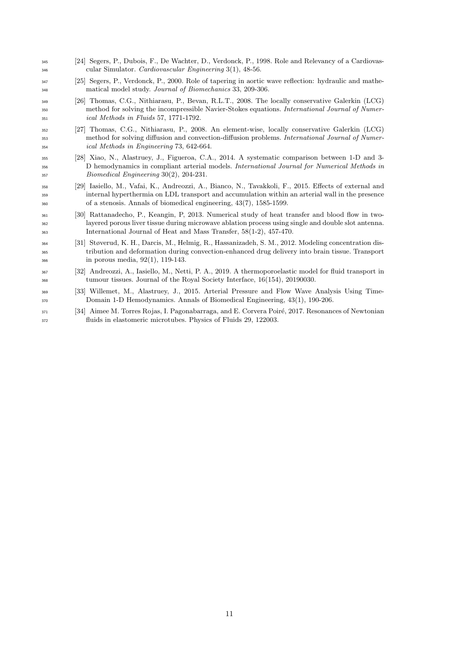- [24] Segers, P., Dubois, F., De Wachter, D., Verdonck, P., 1998. Role and Relevancy of a Cardiovas-cular Simulator. Cardiovascular Engineering 3(1), 48-56.
- [25] Segers, P., Verdonck, P., 2000. Role of tapering in aortic wave reflection: hydraulic and mathematical model study. Journal of Biomechanics 33, 209-306.
- [26] Thomas, C.G., Nithiarasu, P., Bevan, R.L.T., 2008. The locally conservative Galerkin (LCG) method for solving the incompressible Navier-Stokes equations. International Journal of Numer-ical Methods in Fluids 57, 1771-1792.
- [27] Thomas, C.G., Nithiarasu, P., 2008. An element-wise, locally conservative Galerkin (LCG) 353 method for solving diffusion and convection-diffusion problems. International Journal of Numer-ical Methods in Engineering 73, 642-664.
- [28] Xiao, N., Alastruey, J., Figueroa, C.A., 2014. A systematic comparison between 1-D and 3- D hemodynamics in compliant arterial models. International Journal for Numerical Methods in Biomedical Engineering 30(2), 204-231.
- [29] Iasiello, M., Vafai, K., Andreozzi, A., Bianco, N., Tavakkoli, F., 2015. Effects of external and internal hyperthermia on LDL transport and accumulation within an arterial wall in the presence of a stenosis. Annals of biomedical engineering, 43(7), 1585-1599.
- [30] Rattanadecho, P., Keangin, P, 2013. Numerical study of heat transfer and blood flow in two- layered porous liver tissue during microwave ablation process using single and double slot antenna. International Journal of Heat and Mass Transfer, 58(1-2), 457-470.
- [31] Støverud, K. H., Darcis, M., Helmig, R., Hassanizadeh, S. M., 2012. Modeling concentration dis- tribution and deformation during convection-enhanced drug delivery into brain tissue. Transport in porous media, 92(1), 119-143.
- [32] Andreozzi, A., Iasiello, M., Netti, P. A., 2019. A thermoporoelastic model for fluid transport in tumour tissues. Journal of the Royal Society Interface, 16(154), 20190030.
- [33] Willemet, M., Alastruey, J., 2015. Arterial Pressure and Flow Wave Analysis Using Time-Domain 1-D Hemodynamics. Annals of Biomedical Engineering, 43(1), 190-206.
- 371 [34] Aimee M. Torres Rojas, I. Pagonabarraga, and E. Corvera Poiré, 2017. Resonances of Newtonian fluids in elastomeric microtubes. Physics of Fluids 29, 122003.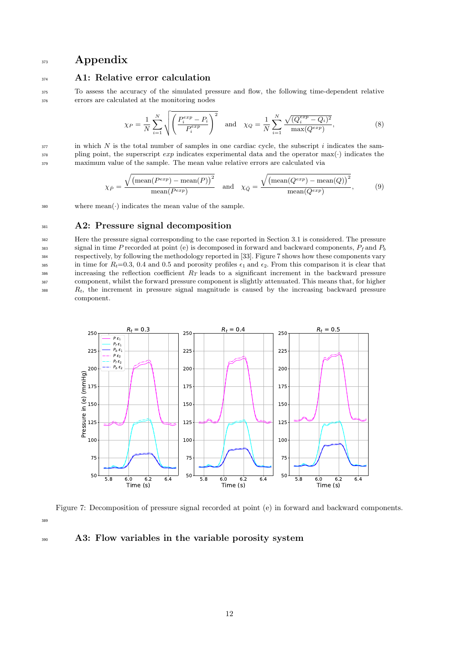# 373 Appendix

### <sup>374</sup> A1: Relative error calculation

<sup>375</sup> To assess the accuracy of the simulated pressure and flow, the following time-dependent relative <sup>376</sup> errors are calculated at the monitoring nodes

$$
\chi_P = \frac{1}{N} \sum_{i=1}^{N} \sqrt{\left(\frac{P_i^{exp} - P_i}{P_i^{exp}}\right)^2} \quad \text{and} \quad \chi_Q = \frac{1}{N} \sum_{i=1}^{N} \frac{\sqrt{(Q_i^{exp} - Q_i)^2}}{\max(Q^{exp})},\tag{8}
$$

 $377$  in which N is the total number of samples in one cardiac cycle, the subscript i indicates the sam- $\frac{378}{278}$  pling point, the superscript *exp* indicates experimental data and the operator max(·) indicates the <sup>379</sup> maximum value of the sample. The mean value relative errors are calculated via

$$
\chi_{\bar{P}} = \frac{\sqrt{\left(\text{mean}(P^{exp}) - \text{mean}(P)\right)^2}}{\text{mean}(P^{exp})} \quad \text{and} \quad \chi_{\bar{Q}} = \frac{\sqrt{\left(\text{mean}(Q^{exp}) - \text{mean}(Q)\right)^2}}{\text{mean}(Q^{exp})},\tag{9}
$$

380 where  $mean(\cdot)$  indicates the mean value of the sample.

#### 381 A2: Pressure signal decomposition

382 383 384 385 386 387 388 Here the pressure signal corresponding to the case reported in Section 3.1 is considered. The pressure signal in time P recorded at point (e) is decomposed in forward and backward components,  $P_f$  and  $P_b$ respectively, by following the methodology reported in [33]. Figure 7 shows how these components vary in time for  $R_t=0.3$ , 0.4 and 0.5 and porosity profiles  $\epsilon_1$  and  $\epsilon_2$ . From this comparison it is clear that increasing the reflection coefficient  $R_T$  leads to a significant increment in the backward pressure component, whilst the forward pressure component is slightly attenuated. This means that, for higher  $R_t$ , the increment in pressure signal magnitude is caused by the increasing backward pressure component.



Figure 7: Decomposition of pressure signal recorded at point (e) in forward and backward components. 389

## <sup>390</sup> A3: Flow variables in the variable porosity system